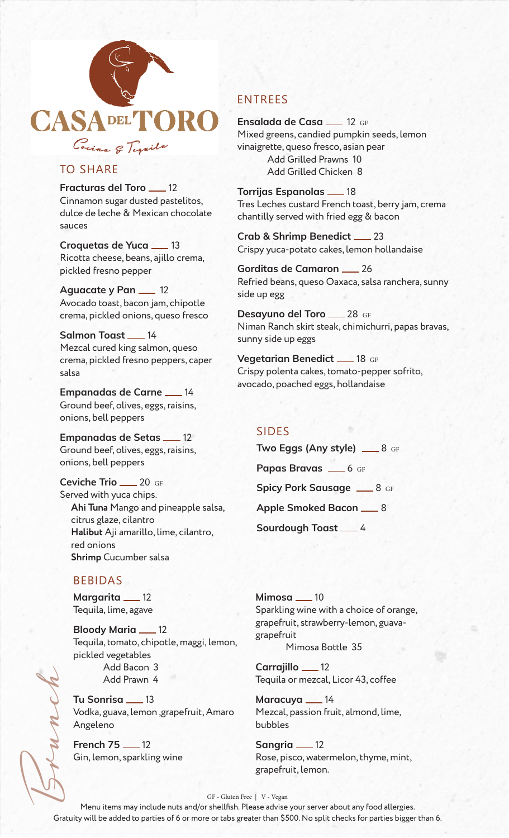

# TO SHARE

**Fracturas del Toro \_\_ 12** Cinnamon sugar dusted pastelitos, dulce de leche & Mexican chocolate sauces

**Croquetas de Yuca** 13 Ricotta cheese, beans, ajillo crema, pickled fresno pepper

**Aguacate y Pan \_\_ 12** Avocado toast, bacon jam, chipotle crema, pickled onions, queso fresco

**Salmon Toast \_\_ 14** Mezcal cured king salmon, queso crema, pickled fresno peppers, caper salsa

**Empanadas de Carne \_\_ 14** Ground beef, olives, eggs, raisins, onions, bell peppers

**Empanadas de Setas \_\_ 12** Ground beef, olives, eggs, raisins, onions, bell peppers

**Ceviche Trio** 20 GF Served with yuca chips. **Ahi Tuna** Mango and pineapple salsa, citrus glaze, cilantro **Halibut** Aji amarillo, lime, cilantro, red onions **Shrimp** Cucumber salsa

### BEBIDAS

**Margarita** 12 Tequila, lime, agave

**Bloody Maria \_\_ 12** Tequila, tomato, chipotle, maggi, lemon, pickled vegetables Add Bacon 3 Add Prawn 4

**Tu Sonrisa** 13 Vodka, guava, lemon ,grapefruit, Amaro Angeleno

**French 75 12** Gin, lemon, sparkling wine

# ENTREES

**Ensalada de Casa** 12 GF Mixed greens, candied pumpkin seeds, lemon vinaigrette, queso fresco, asian pear Add Grilled Prawns 10 Add Grilled Chicken 8

**Torrijas Espanolas** \_\_\_ 18 Tres Leches custard French toast, berry jam, crema chantilly served with fried egg & bacon

**Crab & Shrimp Benedict** 23 Crispy yuca-potato cakes, lemon hollandaise

Gorditas de Camaron <sub>26</sub> Refried beans, queso Oaxaca, salsa ranchera, sunny side up egg

**Desayuno del Toro** 28 GF Niman Ranch skirt steak, chimichurri, papas bravas, sunny side up eggs

**Vegetarian Benedict \_\_ 18 GF** Crispy polenta cakes, tomato-pepper sofrito, avocado, poached eggs, hollandaise

#### SIDES

**Two Eggs (Any style)** <u>28 GF</u> Papas Bravas <sub>— 6 GF</sub> **Spicy Pork Sausage 3 GF** Apple Smoked Bacon <u>3</u> **Sourdough Toast \_\_ 4** 

**Mimosa** \_\_ 10 Sparkling wine with a choice of orange, grapefruit, strawberry-lemon, guavagrapefruit Mimosa Bottle 35

**Carrajillo \_\_ 12** Tequila or mezcal, Licor 43, coffee

Maracuya <sub>14</sub> Mezcal, passion fruit, almond, lime, bubbles

**Sangria** 12 Rose, pisco, watermelon, thyme, mint, grapefruit, lemon.

#### GF - Gluten Free | V - Vegan

Brunch Menu items may include nuts and/or shellfish. Please advise your server about any food allergies. Gratuity will be added to parties of 6 or more or tabs greater than \$500. No split checks for parties bigger than 6.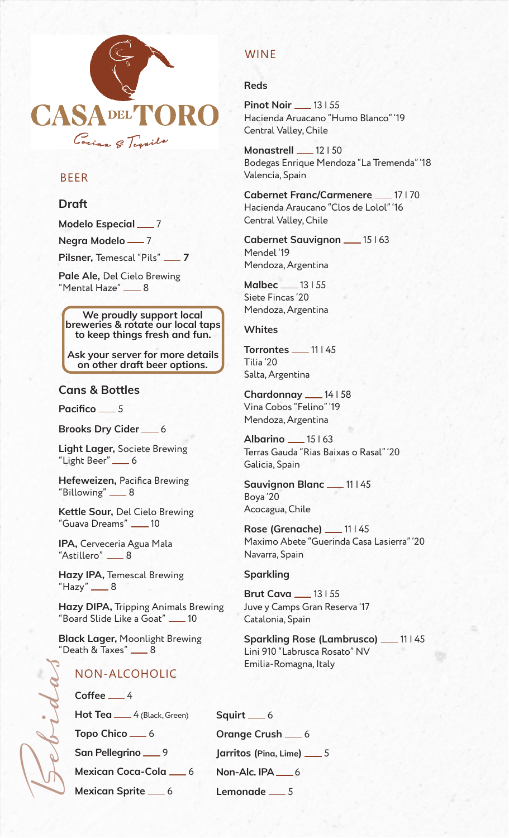

# BEER

### **Draft**

**Modelo Especial \_\_\_ 7 Negra Modelo -7 Pilsner, Temescal "Pils"** \_\_ 7

**Pale Ale,** Del Cielo Brewing  $"$ Mental Haze $"$   $\_\_8$ 

**We proudly support local breweries & rotate our local taps to keep things fresh and fun.**

**Ask your server for more details on other draft beer options.**

### **Cans & Bottles**

Pacifico <sub>5</sub>

**Brooks Dry Cider** \_\_\_ 6

**Light Lager,** Societe Brewing "Light Beer" \_6

**Hefeweizen,** Pacifica Brewing "Billowing" \_8

**Kettle Sour,** Del Cielo Brewing "Guava Dreams" \_\_ 10

**IPA,** Cerveceria Agua Mala "Astillero" \_\_\_ 8

**Hazy IPA,** Temescal Brewing  $"$ Hazy"  $\_\_\_8$ 

**Hazy DIPA,** Tripping Animals Brewing "Board Slide Like a Goat" \_\_\_ 10

**Black Lager,** Moonlight Brewing  $"$ Death & Taxes $"$   $\_\_$  8

## NON-ALCOHOLIC

Coffee <u>4</u>

Bebidas

Hot Tea <sub>-4</sub> (Black, Green)

Topo Chico \_6

**San Pellegrino \_\_ 9** 

**Mexican Coca-Cola \_\_ 6** 

**Mexican Sprite \_6** 

## WINE

#### **Reds**

**Pinot Noir \_\_ 13 | 55** Hacienda Aruacano "Humo Blanco" '19 Central Valley, Chile

**Monastrell** 12 | 50 Bodegas Enrique Mendoza "La Tremenda" '18 Valencia, Spain

**Cabernet Franc/Carmenere \_\_ 17 | 70** Hacienda Araucano "Clos de Lolol" '16 Central Valley, Chile

**Cabernet Sauvignon \_\_ 15 | 63** Mendel '19 Mendoza, Argentina

**Malbec \_\_ 13 | 55** Siete Fincas '20 Mendoza, Argentina

#### **Whites**

**Torrontes \_\_\_ 11 | 45** Tilia '20 Salta, Argentina

**Chardonnay** 14 | 58 Vina Cobos "Felino" '19 Mendoza, Argentina

**Albarino** 15 | 63 Terras Gauda "Rias Baixas o Rasal" '20 Galicia, Spain

**Sauvignon Blanc \_\_ 11 | 45** Boya '20 Acocagua, Chile

**Rose (Grenache) 11 | 45** Maximo Abete "Guerinda Casa Lasierra" '20 Navarra, Spain

#### **Sparkling**

**Brut Cava \_\_ 13 | 55** Juve y Camps Gran Reserva '17 Catalonia, Spain

**Sparkling Rose (Lambrusco) \_\_ 11 | 45** Lini 910 "Labrusca Rosato" NV Emilia-Romagna, Italy

**Squirt** \_6 **Orange Crush** 6 Jarritos (Pina, Lime) \_\_ 5 **Non-Alc. IPA** 6 Lemonade <sub>5</sub>